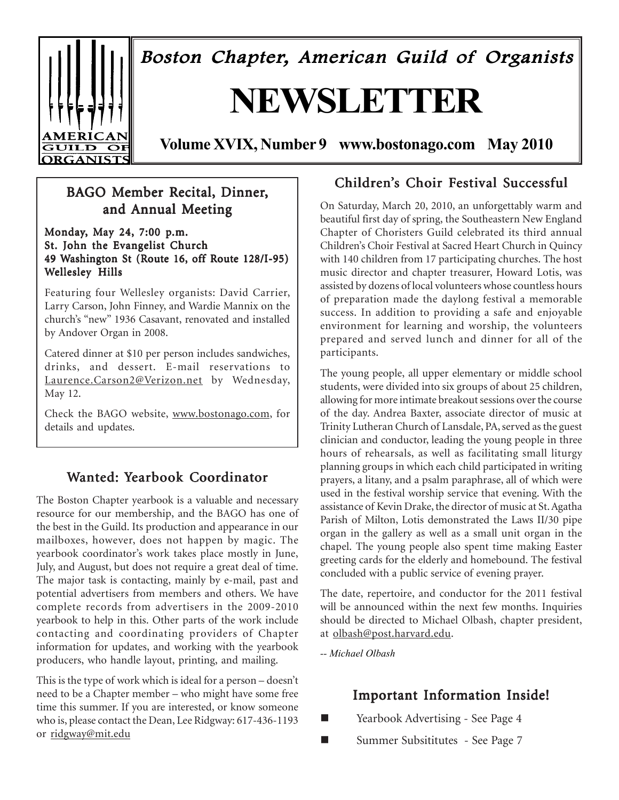Boston Chapter, American Guild of Organists

# **NEWSLETTER**

**AMERIC**  $\overline{{\bf GULD}}$ 

**Volume XVIX, Number 9 www.bostonago.com May 2010**

### BAGO Member Recital, Dinner, and Annual Meeting

Monday, May 24, 7:00 p.m. St. John the Evangelist Church 49 Washington St (Route 16, off Route 128/I-95) Wellesley Hills

Featuring four Wellesley organists: David Carrier, Larry Carson, John Finney, and Wardie Mannix on the church's "new" 1936 Casavant, renovated and installed by Andover Organ in 2008.

Catered dinner at \$10 per person includes sandwiches, drinks, and dessert. E-mail reservations to Laurence.Carson2@Verizon.net by Wednesday, May 12.

Check the BAGO website, www.bostonago.com, for details and updates.

### Wanted: Yearbook Coordinator

The Boston Chapter yearbook is a valuable and necessary resource for our membership, and the BAGO has one of the best in the Guild. Its production and appearance in our mailboxes, however, does not happen by magic. The yearbook coordinator's work takes place mostly in June, July, and August, but does not require a great deal of time. The major task is contacting, mainly by e-mail, past and potential advertisers from members and others. We have complete records from advertisers in the 2009-2010 yearbook to help in this. Other parts of the work include contacting and coordinating providers of Chapter information for updates, and working with the yearbook producers, who handle layout, printing, and mailing.

This is the type of work which is ideal for a person – doesn't need to be a Chapter member – who might have some free time this summer. If you are interested, or know someone who is, please contact the Dean, Lee Ridgway: 617-436-1193 or ridgway@mit.edu

### Children's Choir Festival Successful

On Saturday, March 20, 2010, an unforgettably warm and beautiful first day of spring, the Southeastern New England Chapter of Choristers Guild celebrated its third annual Children's Choir Festival at Sacred Heart Church in Quincy with 140 children from 17 participating churches. The host music director and chapter treasurer, Howard Lotis, was assisted by dozens of local volunteers whose countless hours of preparation made the daylong festival a memorable success. In addition to providing a safe and enjoyable environment for learning and worship, the volunteers prepared and served lunch and dinner for all of the participants.

The young people, all upper elementary or middle school students, were divided into six groups of about 25 children, allowing for more intimate breakout sessions over the course of the day. Andrea Baxter, associate director of music at Trinity Lutheran Church of Lansdale, PA, served as the guest clinician and conductor, leading the young people in three hours of rehearsals, as well as facilitating small liturgy planning groups in which each child participated in writing prayers, a litany, and a psalm paraphrase, all of which were used in the festival worship service that evening. With the assistance of Kevin Drake, the director of music at St. Agatha Parish of Milton, Lotis demonstrated the Laws II/30 pipe organ in the gallery as well as a small unit organ in the chapel. The young people also spent time making Easter greeting cards for the elderly and homebound. The festival concluded with a public service of evening prayer.

The date, repertoire, and conductor for the 2011 festival will be announced within the next few months. Inquiries should be directed to Michael Olbash, chapter president, at olbash@post.harvard.edu.

*-- Michael Olbash*

### Important Information Inside!

- Yearbook Advertising See Page 4
- Summer Subsititutes See Page 7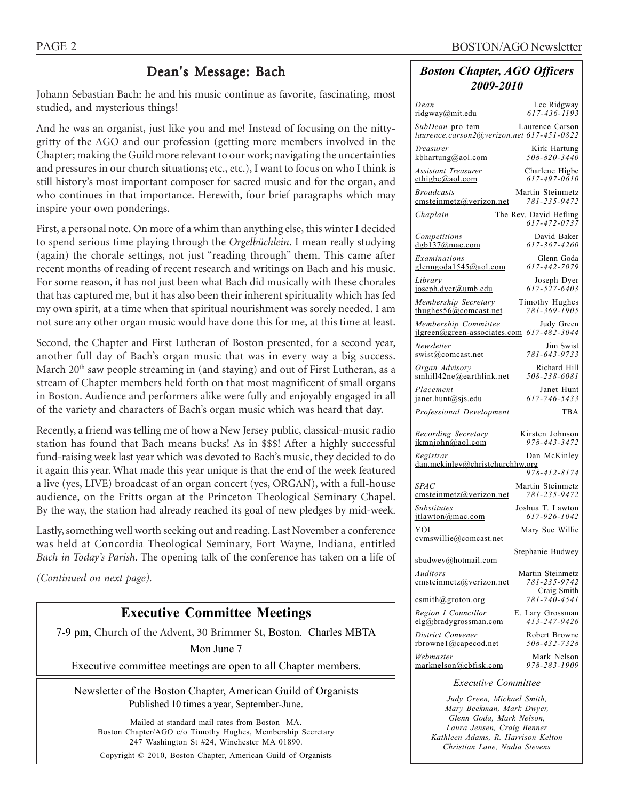### Dean's Message: Bach

Johann Sebastian Bach: he and his music continue as favorite, fascinating, most studied, and mysterious things!

And he was an organist, just like you and me! Instead of focusing on the nittygritty of the AGO and our profession (getting more members involved in the Chapter; making the Guild more relevant to our work; navigating the uncertainties and pressures in our church situations; etc., etc.), I want to focus on who I think is still history's most important composer for sacred music and for the organ, and who continues in that importance. Herewith, four brief paragraphs which may inspire your own ponderings.

First, a personal note. On more of a whim than anything else, this winter I decided to spend serious time playing through the *Orgelbüchlein*. I mean really studying (again) the chorale settings, not just "reading through" them. This came after recent months of reading of recent research and writings on Bach and his music. For some reason, it has not just been what Bach did musically with these chorales that has captured me, but it has also been their inherent spirituality which has fed my own spirit, at a time when that spiritual nourishment was sorely needed. I am not sure any other organ music would have done this for me, at this time at least.

Second, the Chapter and First Lutheran of Boston presented, for a second year, another full day of Bach's organ music that was in every way a big success. March 20<sup>th</sup> saw people streaming in (and staying) and out of First Lutheran, as a stream of Chapter members held forth on that most magnificent of small organs in Boston. Audience and performers alike were fully and enjoyably engaged in all of the variety and characters of Bach's organ music which was heard that day.

Recently, a friend was telling me of how a New Jersey public, classical-music radio station has found that Bach means bucks! As in \$\$\$! After a highly successful fund-raising week last year which was devoted to Bach's music, they decided to do it again this year. What made this year unique is that the end of the week featured a live (yes, LIVE) broadcast of an organ concert (yes, ORGAN), with a full-house audience, on the Fritts organ at the Princeton Theological Seminary Chapel. By the way, the station had already reached its goal of new pledges by mid-week.

Lastly, something well worth seeking out and reading. Last November a conference was held at Concordia Theological Seminary, Fort Wayne, Indiana, entitled *Bach in Today's Parish*. The opening talk of the conference has taken on a life of

*(Continued on next page).*

### **Executive Committee Meetings**

7-9 pm, Church of the Advent, 30 Brimmer St, Boston. Charles MBTA

Mon June 7

Executive committee meetings are open to all Chapter members.

Newsletter of the Boston Chapter, American Guild of Organists Published 10 times a year, September-June.

Mailed at standard mail rates from Boston MA. Boston Chapter/AGO c/o Timothy Hughes, Membership Secretary 247 Washington St #24, Winchester MA 01890. Copyright © 2010, Boston Chapter, American Guild of Organists

#### *Boston Chapter, AGO Officers 2009-2010*

| Dean                                                         | Lee Ridgway                            |
|--------------------------------------------------------------|----------------------------------------|
| <u>ridgway@mit.edu</u>                                       | $617 - 436 - 1193$                     |
| SubDean pro tem<br>laurence.carson2@verizon.net 617-451-0822 | Laurence Carson                        |
| Treasurer                                                    | Kirk Hartung                           |
| kbhartung@aol.com                                            | 508-820-3440                           |
| <b>Assistant Treasurer</b>                                   | Charlene Higbe                         |
| $\text{cthigbe}(a)$ aol.com                                  | $617 - 497 - 0610$                     |
| <b>Broadcasts</b>                                            | Martin Steinmetz                       |
| cmsteinmetz@verizon.net                                      | 781-235-9472                           |
| Chaplain                                                     | The Rev. David Hefling<br>617-472-0737 |
| Competitions                                                 | David Baker                            |
| dgb137@mac.com                                               | 617-367-4260                           |
| Examinations                                                 | Glenn Goda                             |
| glenngoda1545@aol.com                                        | 617-442-7079                           |
| Library                                                      | Joseph Dyer                            |
| joseph.dyer@umb.edu                                          | 617-527-6403                           |
| Membership Secretary                                         | Timothy Hughes                         |
| thughes $56@$ comcast.net                                    | 781-369-1905                           |
| Membership Committee                                         | Judy Green                             |
| jlgreen@green-associates.com                                 | 617-482-3044                           |
| Newsletter                                                   | Jim Swist                              |
| swist@comcast.net                                            | 781-643-9733                           |
| Organ Advisory                                               | Richard Hill                           |
| smhill42ne@earthlink.net                                     | 508-238-6081                           |
| Placement                                                    | Janet Hunt                             |
| janet.hunt@sjs.edu                                           | 617-746-5433                           |
| Professional Development                                     | TBA                                    |
| Recording Secretary                                          | Kirsten Johnson                        |
| ikmniohn@aol.com                                             | 978-443-3472                           |
| Registrar                                                    | Dan McKinley                           |
| dan.mckinley@christchurchhw.org                              | 978-412-8174                           |
| SPAC                                                         | Martin Steinmetz                       |
| emsteinmetz@verizon.net                                      | 781-235-9472                           |
| Substitutes                                                  | Joshua T. Lawton                       |
| itlawton@mac.com                                             | 617-926-1042                           |
| YOI<br>cymswillie@comcast.net                                | Mary Sue Willie                        |
|                                                              | Stephanie Budwey                       |
| subdown@hotmail.com<br>Auditors                              | Martin Steinmetz                       |
| emsteinmetz@verizon.net                                      | 781-235-9742<br>Craig Smith            |
| csmith@groton.org<br>Region I Councillor                     | 781-740-4541                           |
|                                                              |                                        |
| elg@bradygrossman.com                                        | E. Lary Grossman<br>$413 - 247 - 9426$ |
| District Convener                                            | Robert Browne                          |
| rbrownel@capecod.net                                         | 508-432-7328                           |
| Webmaster                                                    | Mark Nelson                            |

#### *Executive Committee*

*Judy Green, Michael Smith, Mary Beekman, Mark Dwyer, Glenn Goda, Mark Nelson, Laura Jensen, Craig Benner Kathleen Adams, R. Harrison Kelton Christian Lane, Nadia Stevens*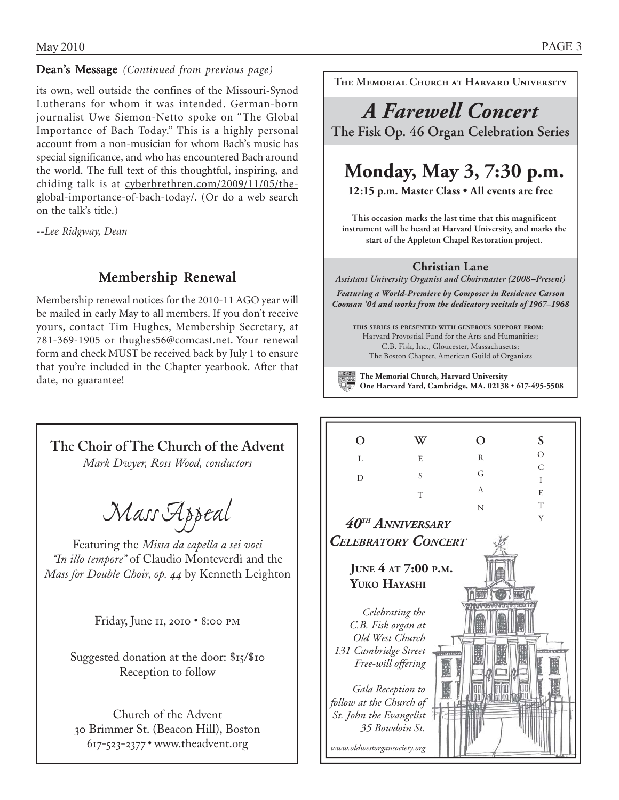#### Dean's Message *(Continued from previous page)*

its own, well outside the confines of the Missouri-Synod Lutherans for whom it was intended. German-born journalist Uwe Siemon-Netto spoke on "The Global Importance of Bach Today." This is a highly personal account from a non-musician for whom Bach's music has special significance, and who has encountered Bach around the world. The full text of this thoughtful, inspiring, and chiding talk is at cyberbrethren.com/2009/11/05/theglobal-importance-of-bach-today/. (Or do a web search on the talk's title.)

*--Lee Ridgway, Dean*

### Membership Renewal

Membership renewal notices for the 2010-11 AGO year will be mailed in early May to all members. If you don't receive yours, contact Tim Hughes, Membership Secretary, at 781-369-1905 or thughes56@comcast.net. Your renewal form and check MUST be received back by July 1 to ensure that you're included in the Chapter yearbook. After that date, no guarantee!



**The Memorial Church at Harvard University** 

# *A Farewell Concert* **The Fisk Op. 46 Organ Celebration Series**

# **Monday, May 3, 7:30 p.m.**

**12:15 p.m. Master Class s All events are free**

**This occasion marks the last time that this magnificent instrument will be heard at Harvard University, and marks the start of the Appleton Chapel Restoration project.**

#### **Christian Lane**

*Assistant University Organist and Choirmaster (2008–Present)* 

*Featuring a World-Premiere by Composer in Residence Carson Cooman '04 and works from the dedicatory recitals of 1967–1968*

**this series is presented with generous support from:** Harvard Provostial Fund for the Arts and Humanities; C.B. Fisk, Inc., Gloucester, Massachusetts; The Boston Chapter, American Guild of Organists

**The Memorial Church, Harvard University One Harvard Yard, Cambridge, MA. 02138** y **617-495-5508**

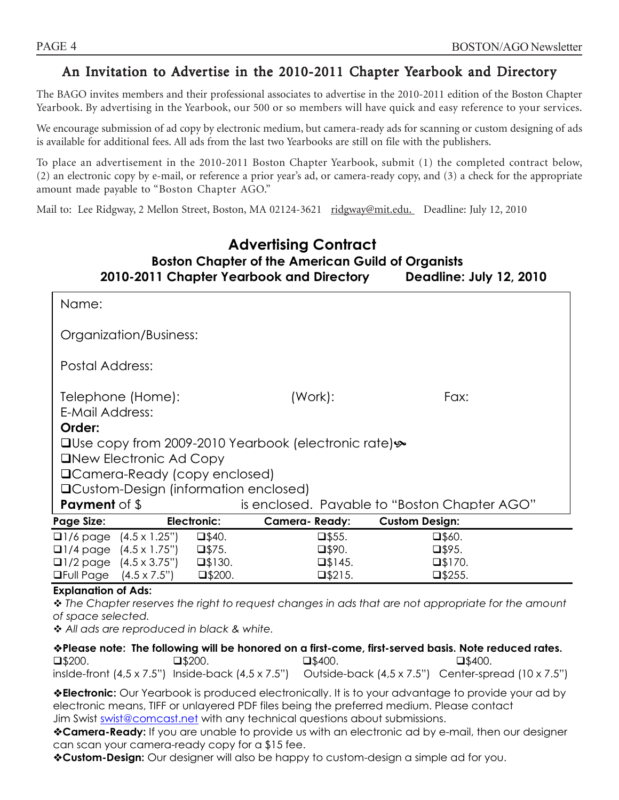### An Invitation to Advertise in the 2010-2011 Chapter Yearbook and Directory

The BAGO invites members and their professional associates to advertise in the 2010-2011 edition of the Boston Chapter Yearbook. By advertising in the Yearbook, our 500 or so members will have quick and easy reference to your services.

We encourage submission of ad copy by electronic medium, but camera-ready ads for scanning or custom designing of ads is available for additional fees. All ads from the last two Yearbooks are still on file with the publishers.

To place an advertisement in the 2010-2011 Boston Chapter Yearbook, submit (1) the completed contract below, (2) an electronic copy by e-mail, or reference a prior year's ad, or camera-ready copy, and (3) a check for the appropriate amount made payable to "Boston Chapter AGO."

Mail to: Lee Ridgway, 2 Mellon Street, Boston, MA 02124-3621 ridgway@mit.edu. Deadline: July 12, 2010

### **Advertising Contract Boston Chapter of the American Guild of Organists 2010-2011 Chapter Yearbook and Directory Deadline: July 12, 2010**

| Name:                                        |                  |                                                                                |                                              |  |
|----------------------------------------------|------------------|--------------------------------------------------------------------------------|----------------------------------------------|--|
| Organization/Business:                       |                  |                                                                                |                                              |  |
| Postal Address:                              |                  |                                                                                |                                              |  |
| Telephone (Home):                            |                  | (Work):                                                                        | Fax:                                         |  |
| E-Mail Address:                              |                  |                                                                                |                                              |  |
| Order:                                       |                  |                                                                                |                                              |  |
|                                              |                  | <b>□Use copy from 2009-2010 Yearbook (electronic rate) <math>\&amp;</math></b> |                                              |  |
| <b>ONEW Electronic Ad Copy</b>               |                  |                                                                                |                                              |  |
| □ Camera-Ready (copy enclosed)               |                  |                                                                                |                                              |  |
| <b>QCustom-Design (information enclosed)</b> |                  |                                                                                |                                              |  |
| <b>Payment</b> of \$                         |                  |                                                                                | is enclosed. Payable to "Boston Chapter AGO" |  |
| <b>Page Size:</b>                            | Electronic:      | <b>Camera-Ready:</b>                                                           | <b>Custom Design:</b>                        |  |
| $\Box$ 1/6 page $(4.5 \times 1.25)$          | $\square$ \$40.  | $\square$ \$55.                                                                | $\square$ \$60.                              |  |
| $\Box$ 1/4 page $(4.5 \times 1.75")$         | $\square$ \$75.  | $\square$ \$90.                                                                | $\square$ \$95.                              |  |
| $\Box$ 1/2 page $(4.5 \times 3.75")$         | $\square$ \$130. | $\square$ \$145.                                                               | $\square$ \$170.                             |  |
| <b>OFull Page</b> $(4.5 \times 7.5")$        | $\square$ \$200. | $\square$ \$215.                                                               | $\square$ \$255.                             |  |

#### **Explanation of Ads:**

 *The Chapter reserves the right to request changes in ads that are not appropriate for the amount of space selected.* 

 *All ads are reproduced in black & white.* 

**Please note: The following will be honored on a first-come, first-served basis. Note reduced rates.**   $\square$ \$200.  $\square$ \$200.  $\square$ \$400.  $\square$ \$400.  $\square$ \$400. insIde-front (4,5 x 7.5") Inside-back (4,5 x 7.5") Outside-back (4,5 x 7.5") Center-spread (10 x 7.5")

**Electronic:** Our Yearbook is produced electronically. It is to your advantage to provide your ad by electronic means, TIFF or unlayered PDF files being the preferred medium. Please contact Jim Swist swist@comcast.net with any technical questions about submissions.

**Camera-Ready:** If you are unable to provide us with an electronic ad by e-mail, then our designer can scan your camera-ready copy for a \$15 fee.

**Custom-Design:** Our designer will also be happy to custom-design a simple ad for you.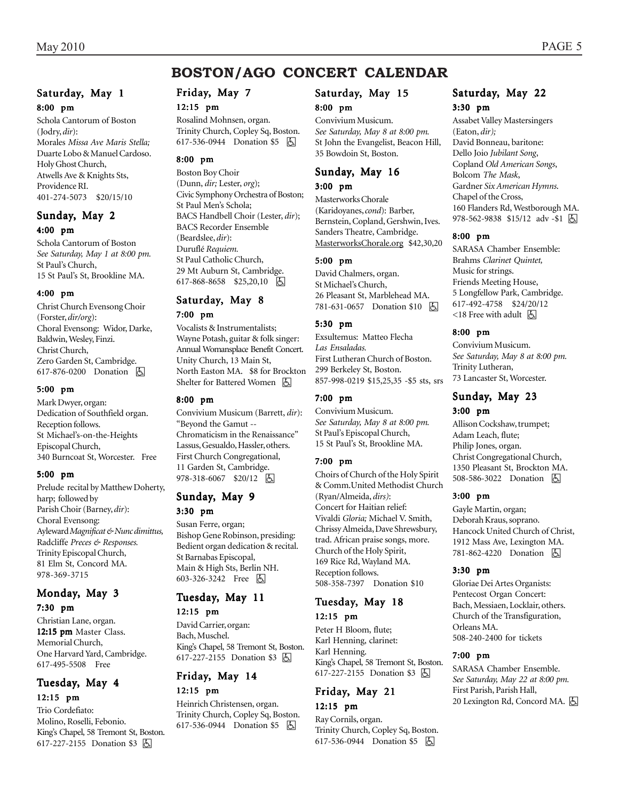### **BOSTON/AGO CONCERT CALENDAR**

### Saturday, May 1

8:00 pm

Schola Cantorum of Boston (Jodry, *dir*): Morales *Missa Ave Maris Stella;* Duarte Lobo & Manuel Cardoso. Holy Ghost Church, Atwells Ave & Knights Sts, Providence RI. 401-274-5073 \$20/15/10

#### Sunday, May 2 4:00 pm

Schola Cantorum of Boston *See Saturday, May 1 at 8:00 pm.* St Paul's Church, 15 St Paul's St, Brookline MA.

#### 4:00 pm

Christ Church Evensong Choir (Forster, *dir/org*): Choral Evensong: Widor, Darke, Baldwin, Wesley, Finzi. Christ Church, Zero Garden St, Cambridge. 617-876-0200 Donation  $\Box$ 

#### 5:00 pm

Mark Dwyer, organ: Dedication of Southfield organ. Reception follows. St Michael's-on-the-Heights Episcopal Church, 340 Burncoat St, Worcester. Free

#### 5:00 pm

Prelude recital by Matthew Doherty, harp; followed by Parish Choir (Barney, *dir*): Choral Evensong: Ayleward *Magnificat & Nunc dimittus,* Radcliffe *Preces & Responses.* Trinity Episcopal Church, 81 Elm St, Concord MA. 978-369-3715

#### Monday, May 3 7:30 pm

Christian Lane, organ. 12:15 pm Master Class. Memorial Church, One Harvard Yard, Cambridge. 617-495-5508 Free

### Tuesday, May 4 12:15 pm

Trio Cordefiato: Molino, Roselli, Febonio. King's Chapel, 58 Tremont St, Boston. 617-227-2155 Donation \$3 **A** 

#### Friday, May 7

#### 12:15 pm

Rosalind Mohnsen, organ. Trinity Church, Copley Sq, Boston. 617-536-0944 Donation \$5 因

#### 8:00 pm

Boston Boy Choir (Dunn, *dir;* Lester, *org*); Civic Symphony Orchestra of Boston; St Paul Men's Schola; BACS Handbell Choir (Lester, *dir*); BACS Recorder Ensemble (Beardslee, *dir*): Duruflé *Requiem.* St Paul Catholic Church, 29 Mt Auburn St, Cambridge. 617-868-8658 \$25,20,10 h

### Saturday, May 8 7:00 pm

Vocalists & Instrumentalists; Wayne Potash, guitar & folk singer: Annual Womansplace Benefit Concert. Unity Church, 13 Main St, North Easton MA. \$8 for Brockton Shelter for Battered Women [人]

#### 8:00 pm

Convivium Musicum (Barrett, *dir*): "Beyond the Gamut -- Chromaticism in the Renaissance" Lassus, Gesualdo, Hassler, others. First Church Congregational, 11 Garden St, Cambridge. 978-318-6067 \$20/12 4

#### Sunday, May 9 3:30 pm

Susan Ferre, organ; Bishop Gene Robinson, presiding: Bedient organ dedication & recital. St Barnabas Episcopal, Main & High Sts, Berlin NH. 603-326-3242 Free 因

#### Tuesday, May 11 12:15 pm

David Carrier, organ: Bach, Muschel. King's Chapel, 58 Tremont St, Boston. 617-227-2155 Donation \$3 **A** 

#### Friday, May 14 12:15 pm

Heinrich Christensen, organ. Trinity Church, Copley Sq, Boston. 617-536-0944 Donation \$5 | A

#### Saturday, May 15

#### 8:00 pm

Convivium Musicum. *See Saturday, May 8 at 8:00 pm.* St John the Evangelist, Beacon Hill, 35 Bowdoin St, Boston.

### Sunday, May 16

#### 3:00 pm

Masterworks Chorale (Karidoyanes, *cond*): Barber, Bernstein, Copland, Gershwin, Ives. Sanders Theatre, Cambridge. MasterworksChorale.org \$42,30,20

#### 5:00 pm

David Chalmers, organ. St Michael's Church, 26 Pleasant St, Marblehead MA. 781-631-0657 Donation \$10 因

#### 5:30 pm

Exsultemus: Matteo Flecha *Las Ensaladas.* First Lutheran Church of Boston. 299 Berkeley St, Boston. 857-998-0219 \$15,25,35 -\$5 sts, srs

#### 7:00 pm

Convivium Musicum. *See Saturday, May 8 at 8:00 pm.* St Paul's Episcopal Church, 15 St Paul's St, Brookline MA.

#### 7:00 pm

Choirs of Church of the Holy Spirit & Comm.United Methodist Church (Ryan/Almeida, *dirs)*: Concert for Haitian relief: Vivaldi *Gloria;* Michael V. Smith, Chrissy Almeida, Dave Shrewsbury, trad. African praise songs, more. Church of the Holy Spirit, 169 Rice Rd, Wayland MA. Reception follows. 508-358-7397 Donation \$10

## Tuesday, May 18

12:15 pm

Peter H Bloom, flute; Karl Henning, clarinet: Karl Henning. King's Chapel, 58 Tremont St, Boston. 617-227-2155 Donation \$3 **A** 

#### Friday, May 21 12:15 pm

Ray Cornils, organ. Trinity Church, Copley Sq, Boston. 617-536-0944 Donation \$5 | A

### Saturday, May 22

#### 3:30 pm

Assabet Valley Mastersingers (Eaton, *dir);* David Bonneau, baritone: Dello Joio *Jubilant Song*, Copland *Old American Songs*, Bolcom *The Mask*, Gardner *Six American Hymns*. Chapel of the Cross, 160 Flanders Rd, Westborough MA. 978-562-9838 \$15/12 adv -\$1 | +

#### 8:00 pm

SARASA Chamber Ensemble: Brahms *Clarinet Quintet,* Music for strings. Friends Meeting House, 5 Longfellow Park, Cambridge. 617-492-4758 \$24/20/12  $\le$ 18 Free with adult  $\sqrt{5}$ 

#### 8:00 pm

Convivium Musicum. *See Saturday, May 8 at 8:00 pm.* Trinity Lutheran, 73 Lancaster St, Worcester.

### Sunday, May 23

### 3:00 pm

Allison Cockshaw, trumpet; Adam Leach, flute; Philip Jones, organ. Christ Congregational Church, 1350 Pleasant St, Brockton MA. 508-586-3022 Donation  $\boxed{6}$ 

#### 3:00 pm

Gayle Martin, organ; Deborah Kraus, soprano. Hancock United Church of Christ, 1912 Mass Ave, Lexington MA. 781-862-4220 Donation  $\boxed{6}$ 

#### 3:30 pm

Gloriae Dei Artes Organists: Pentecost Organ Concert: Bach, Messiaen, Locklair, others. Church of the Transfiguration, Orleans MA. 508-240-2400 for tickets

#### 7:00 pm

SARASA Chamber Ensemble. *See Saturday, May 22 at 8:00 pm.* First Parish, Parish Hall, 20 Lexington Rd, Concord MA.  $\boxed{6}$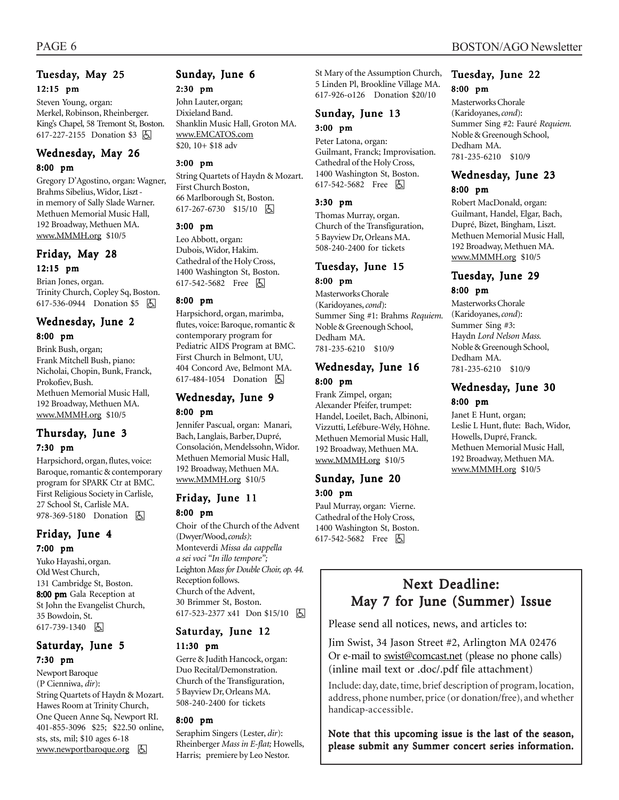#### Tuesday, May 25 12:15 pm

Steven Young, organ: Merkel, Robinson, Rheinberger. King's Chapel, 58 Tremont St, Boston. 617-227-2155 Donation \$3 因

#### Wednesday, May 26 8:00 pm

Gregory D'Agostino, organ: Wagner, Brahms Sibelius, Widor, Liszt in memory of Sally Slade Warner. Methuen Memorial Music Hall, 192 Broadway, Methuen MA. www.MMMH.org \$10/5

### Friday, May 28 12:15 pm

Brian Jones, organ. Trinity Church, Copley Sq, Boston. 617-536-0944 Donation \$5 | +

### Wednesday, June 2

#### 8:00 pm

Brink Bush, organ; Frank Mitchell Bush, piano: Nicholai, Chopin, Bunk, Franck, Prokofiev, Bush. Methuen Memorial Music Hall, 192 Broadway, Methuen MA. www.MMMH.org \$10/5

#### Thursday, June 3 7:30 pm

Harpsichord, organ, flutes, voice: Baroque, romantic & contemporary program for SPARK Ctr at BMC. First Religious Society in Carlisle,

### 978-369-5180 Donation 因 Friday, June 4

27 School St, Carlisle MA.

#### 7:00 pm

Yuko Hayashi, organ. Old West Church, 131 Cambridge St, Boston. 8:00 pm Gala Reception at St John the Evangelist Church, 35 Bowdoin, St. 617-739-1340 因

#### Saturday, June 5 7:30 pm

Newport Baroque (P Cienniwa, *dir*): String Quartets of Haydn & Mozart. Hawes Room at Trinity Church, One Queen Anne Sq, Newport RI. 401-855-3096 \$25; \$22.50 online, sts, sts, mil; \$10 ages 6-18 www.newportbaroque.org **b** 

### Sunday, June 6

#### 2:30 pm

John Lauter, organ; Dixieland Band. Shanklin Music Hall, Groton MA. www.EMCATOS.com \$20, 10+ \$18 adv

#### 3:00 pm

String Quartets of Haydn & Mozart. First Church Boston, 66 Marlborough St, Boston. 617-267-6730 \$15/10 8

#### 3:00 pm

Leo Abbott, organ: Dubois, Widor, Hakim. Cathedral of the Holy Cross, 1400 Washington St, Boston. 617-542-5682 Free **b** 

#### 8:00 pm

Harpsichord, organ, marimba, flutes, voice: Baroque, romantic & contemporary program for Pediatric AIDS Program at BMC. First Church in Belmont, UU, 404 Concord Ave, Belmont MA. 617-484-1054 Donation **b** 

#### Wednesday, June 9 8:00 pm

Jennifer Pascual, organ: Manari, Bach, Langlais, Barber, Dupré, Consolación, Mendelssohn, Widor. Methuen Memorial Music Hall, 192 Broadway, Methuen MA. www.MMMH.org \$10/5

# Friday, June 11

8:00 pm Choir of the Church of the Advent (Dwyer/Wood, *conds)*: Monteverdi *Missa da cappella a sei voci "In illo tempore";* Leighton *Mass for Double Choir, op. 44.* Reception follows. Church of the Advent, 30 Brimmer St, Boston. 617-523-2377 x41 Don \$15/10 因

#### Saturday, June 12 11:30 pm

Gerre & Judith Hancock, organ: Duo Recital/Demonstration. Church of the Transfiguration, 5 Bayview Dr, Orleans MA. 508-240-2400 for tickets

#### 8:00 pm

Seraphim Singers (Lester, *dir*): Rheinberger *Mass in E-flat;* Howells, Harris; premiere by Leo Nestor.

St Mary of the Assumption Church, 5 Linden Pl, Brookline Village MA. 617-926-o126 Donation \$20/10

#### Sunday, June 13 3:00 pm

Peter Latona, organ: Guilmant, Franck; Improvisation. Cathedral of the Holy Cross, 1400 Washington St, Boston. 617-542-5682 Free 因

#### 3:30 pm

Thomas Murray, organ. Church of the Transfiguration, 5 Bayview Dr, Orleans MA. 508-240-2400 for tickets

#### Tuesday, June 15 8:00 pm

Masterworks Chorale (Karidoyanes, *cond*): Summer Sing #1: Brahms *Requiem.* Noble & Greenough School, Dedham MA. 781-235-6210 \$10/9

#### Wednesday, June 16 8:00 pm

Frank Zimpel, organ; Alexander Pfeifer, trumpet: Handel, Loeilet, Bach, Albinoni, Vizzutti, Lefébure-Wély, Höhne. Methuen Memorial Music Hall, 192 Broadway, Methuen MA. www.MMMH.org \$10/5

#### Sunday, June 20 3:00 pm

Paul Murray, organ: Vierne. Cathedral of the Holy Cross, 1400 Washington St, Boston. 617-542-5682 Free 因

# Tuesday, June 22

### 8:00 pm

Masterworks Chorale (Karidoyanes, *cond*): Summer Sing #2: Fauré *Requiem.* Noble & Greenough School, Dedham MA. 781-235-6210 \$10/9

#### Wednesday, June 23 8:00 pm

Robert MacDonald, organ: Guilmant, Handel, Elgar, Bach, Dupré, Bizet, Bingham, Liszt. Methuen Memorial Music Hall, 192 Broadway, Methuen MA. www.MMMH.org \$10/5

#### Tuesday, June 29 8:00 pm

Masterworks Chorale (Karidoyanes, *cond*): Summer Sing #3: Haydn *Lord Nelson Mass.* Noble & Greenough School, Dedham MA. 781-235-6210 \$10/9

#### Wednesday, June 30 8:00 pm

Janet E Hunt, organ; Leslie L Hunt, flute: Bach, Widor, Howells, Dupré, Franck. Methuen Memorial Music Hall, 192 Broadway, Methuen MA. www.MMMH.org \$10/5

### Next Deadline: May 7 for June (Summer) Issue

Please send all notices, news, and articles to:

Jim Swist, 34 Jason Street #2, Arlington MA 02476 Or e-mail to swist@comcast.net (please no phone calls) (inline mail text or .doc/.pdf file attachment)

Include: day, date, time, brief description of program, location, address, phone number, price (or donation/free), and whether handicap-accessible.

Note that this upcoming issue is the last of the season, please submit any Summer concert series information.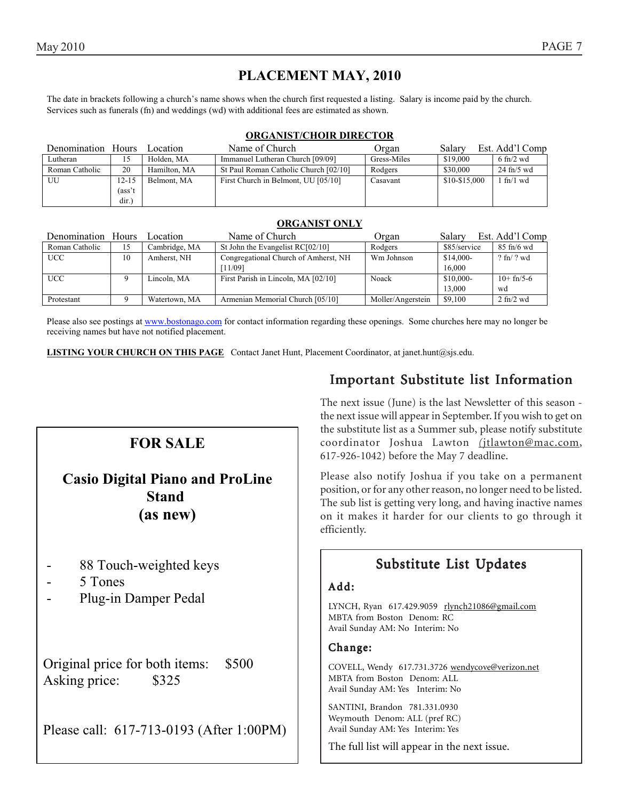### **PLACEMENT MAY, 2010**

The date in brackets following a church's name shows when the church first requested a listing. Salary is income paid by the church. Services such as funerals (fn) and weddings (wd) with additional fees are estimated as shown.

#### **ORGANIST/CHOIR DIRECTOR**

| Denomination Hours |        | Location     | Name of Church                        | Organ       | Salarv        | Est. Add'l Comp                     |
|--------------------|--------|--------------|---------------------------------------|-------------|---------------|-------------------------------------|
| Lutheran           | 15.    | Holden. MA   | Immanuel Lutheran Church [09/09]      | Gress-Miles | \$19,000      | $6 \text{ ft}$ /2 wd                |
| Roman Catholic     | 20     | Hamilton, MA | St Paul Roman Catholic Church [02/10] | Rodgers     | \$30,000      | $24$ fn/5 wd                        |
| UU                 | 12-15  | Belmont, MA  | First Church in Belmont, UU [05/10]   | Casavant    | \$10-\$15,000 | $\frac{1 \text{ ft}}{1 \text{ wd}}$ |
|                    | (ass't |              |                                       |             |               |                                     |
|                    | dir.)  |              |                                       |             |               |                                     |

#### **ORGANIST ONLY**

| Denomination Hours |    | Location      | Name of Church                       | Organ             | Salary       | Est. Add'l Comp                 |
|--------------------|----|---------------|--------------------------------------|-------------------|--------------|---------------------------------|
| Roman Catholic     | 15 | Cambridge, MA | St John the Evangelist $RC[02/10]$   | Rodgers           | \$85/service | $85 \text{ ft}/6 \text{ wd}$    |
| <b>UCC</b>         | 10 | Amherst, NH   | Congregational Church of Amherst, NH | Wm Johnson        | $$14,000-$   | $?$ fn/ $?$ wd                  |
|                    |    |               | [11/09]                              |                   | 16,000       |                                 |
| <b>UCC</b>         |    | Lincoln. MA   | First Parish in Lincoln, MA [02/10]  | Noack             | \$10,000-    | $10+fn/5-6$                     |
|                    |    |               |                                      |                   | 13,000       | wd                              |
| Protestant         |    | Watertown, MA | Armenian Memorial Church [05/10]     | Moller/Angerstein | \$9,100      | $2 \text{ ft}$ / $2 \text{ wd}$ |

Please also see postings at www.bostonago.com for contact information regarding these openings. Some churches here may no longer be receiving names but have not notified placement.

**LISTING YOUR CHURCH ON THIS PAGE** Contact Janet Hunt, Placement Coordinator, at janet.hunt@sjs.edu.

### **FOR SALE**

### **Casio Digital Piano and ProLine Stand (as new)**

- 88 Touch-weighted keys
- 5 Tones
- Plug-in Damper Pedal

Original price for both items: \$500 Asking price: \$325

Please call: 617-713-0193 (After 1:00PM)

### Important Substitute list Information

The next issue (June) is the last Newsletter of this season the next issue will appear in September. If you wish to get on the substitute list as a Summer sub, please notify substitute coordinator Joshua Lawton *(*jtlawton@mac.com, 617-926-1042) before the May 7 deadline.

Please also notify Joshua if you take on a permanent position, or for any other reason, no longer need to be listed. The sub list is getting very long, and having inactive names on it makes it harder for our clients to go through it efficiently.

### Substitute List Updates

#### Add:

LYNCH, Ryan 617.429.9059 rlynch21086@gmail.com MBTA from Boston Denom: RC Avail Sunday AM: No Interim: No

#### Change:

COVELL, Wendy 617.731.3726 wendycove@verizon.net MBTA from Boston Denom: ALL Avail Sunday AM: Yes Interim: No

SANTINI, Brandon 781.331.0930 Weymouth Denom: ALL (pref RC) Avail Sunday AM: Yes Interim: Yes

The full list will appear in the next issue.